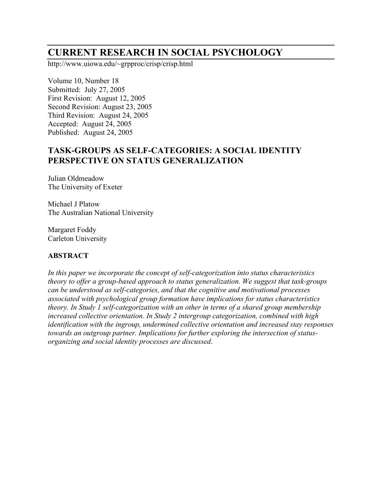# **CURRENT RESEARCH IN SOCIAL PSYCHOLOGY**

http://www.uiowa.edu/~grpproc/crisp/crisp.html

Volume 10, Number 18 Submitted: July 27, 2005 First Revision: August 12, 2005 Second Revision: August 23, 2005 Third Revision: August 24, 2005 Accepted: August 24, 2005 Published: August 24, 2005

# **TASK-GROUPS AS SELF-CATEGORIES: A SOCIAL IDENTITY PERSPECTIVE ON STATUS GENERALIZATION**

Julian Oldmeadow The University of Exeter

Michael J Platow The Australian National University

Margaret Foddy Carleton University

### **ABSTRACT**

*In this paper we incorporate the concept of self-categorization into status characteristics theory to offer a group-based approach to status generalization. We suggest that task-groups can be understood as self-categories, and that the cognitive and motivational processes associated with psychological group formation have implications for status characteristics theory. In Study 1 self-categorization with an other in terms of a shared group membership increased collective orientation. In Study 2 intergroup categorization, combined with high identification with the ingroup, undermined collective orientation and increased stay responses towards an outgroup partner. Implications for further exploring the intersection of statusorganizing and social identity processes are discussed*.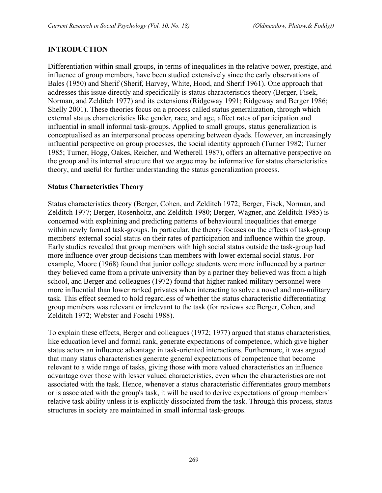#### **INTRODUCTION**

Differentiation within small groups, in terms of inequalities in the relative power, prestige, and influence of group members, have been studied extensively since the early observations of Bales (1950) and Sherif (Sherif, Harvey, White, Hood, and Sherif 1961). One approach that addresses this issue directly and specifically is status characteristics theory (Berger, Fisek, Norman, and Zelditch 1977) and its extensions (Ridgeway 1991; Ridgeway and Berger 1986; Shelly 2001). These theories focus on a process called status generalization, through which external status characteristics like gender, race, and age, affect rates of participation and influential in small informal task-groups. Applied to small groups, status generalization is conceptualised as an interpersonal process operating between dyads. However, an increasingly influential perspective on group processes, the social identity approach (Turner 1982; Turner 1985; Turner, Hogg, Oakes, Reicher, and Wetherell 1987), offers an alternative perspective on the group and its internal structure that we argue may be informative for status characteristics theory, and useful for further understanding the status generalization process.

#### **Status Characteristics Theory**

Status characteristics theory (Berger, Cohen, and Zelditch 1972; Berger, Fisek, Norman, and Zelditch 1977; Berger, Rosenholtz, and Zelditch 1980; Berger, Wagner, and Zelditch 1985) is concerned with explaining and predicting patterns of behavioural inequalities that emerge within newly formed task-groups. In particular, the theory focuses on the effects of task-group members' external social status on their rates of participation and influence within the group. Early studies revealed that group members with high social status outside the task-group had more influence over group decisions than members with lower external social status. For example, Moore (1968) found that junior college students were more influenced by a partner they believed came from a private university than by a partner they believed was from a high school, and Berger and colleagues (1972) found that higher ranked military personnel were more influential than lower ranked privates when interacting to solve a novel and non-military task. This effect seemed to hold regardless of whether the status characteristic differentiating group members was relevant or irrelevant to the task (for reviews see Berger, Cohen, and Zelditch 1972; Webster and Foschi 1988).

To explain these effects, Berger and colleagues (1972; 1977) argued that status characteristics, like education level and formal rank, generate expectations of competence, which give higher status actors an influence advantage in task-oriented interactions. Furthermore, it was argued that many status characteristics generate general expectations of competence that become relevant to a wide range of tasks, giving those with more valued characteristics an influence advantage over those with lesser valued characteristics, even when the characteristics are not associated with the task. Hence, whenever a status characteristic differentiates group members or is associated with the group's task, it will be used to derive expectations of group members' relative task ability unless it is explicitly dissociated from the task. Through this process, status structures in society are maintained in small informal task-groups.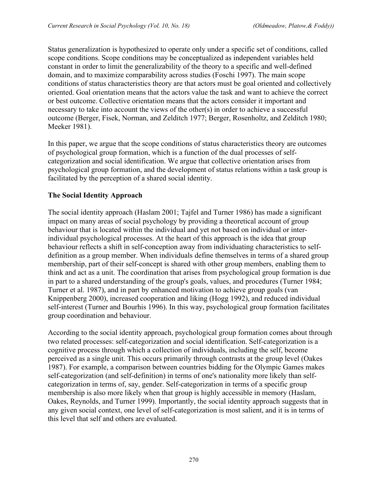Status generalization is hypothesized to operate only under a specific set of conditions, called scope conditions. Scope conditions may be conceptualized as independent variables held constant in order to limit the generalizability of the theory to a specific and well-defined domain, and to maximize comparability across studies (Foschi 1997). The main scope conditions of status characteristics theory are that actors must be goal oriented and collectively oriented. Goal orientation means that the actors value the task and want to achieve the correct or best outcome. Collective orientation means that the actors consider it important and necessary to take into account the views of the other(s) in order to achieve a successful outcome (Berger, Fisek, Norman, and Zelditch 1977; Berger, Rosenholtz, and Zelditch 1980; Meeker 1981).

In this paper, we argue that the scope conditions of status characteristics theory are outcomes of psychological group formation, which is a function of the dual processes of selfcategorization and social identification. We argue that collective orientation arises from psychological group formation, and the development of status relations within a task group is facilitated by the perception of a shared social identity.

# **The Social Identity Approach**

The social identity approach (Haslam 2001; Tajfel and Turner 1986) has made a significant impact on many areas of social psychology by providing a theoretical account of group behaviour that is located within the individual and yet not based on individual or interindividual psychological processes. At the heart of this approach is the idea that group behaviour reflects a shift in self-conception away from individuating characteristics to selfdefinition as a group member. When individuals define themselves in terms of a shared group membership, part of their self-concept is shared with other group members, enabling them to think and act as a unit. The coordination that arises from psychological group formation is due in part to a shared understanding of the group's goals, values, and procedures (Turner 1984; Turner et al. 1987), and in part by enhanced motivation to achieve group goals (van Knippenberg 2000), increased cooperation and liking (Hogg 1992), and reduced individual self-interest (Turner and Bourhis 1996). In this way, psychological group formation facilitates group coordination and behaviour.

According to the social identity approach, psychological group formation comes about through two related processes: self-categorization and social identification. Self-categorization is a cognitive process through which a collection of individuals, including the self, become perceived as a single unit. This occurs primarily through contrasts at the group level (Oakes 1987). For example, a comparison between countries bidding for the Olympic Games makes self-categorization (and self-definition) in terms of one's nationality more likely than selfcategorization in terms of, say, gender. Self-categorization in terms of a specific group membership is also more likely when that group is highly accessible in memory (Haslam, Oakes, Reynolds, and Turner 1999). Importantly, the social identity approach suggests that in any given social context, one level of self-categorization is most salient, and it is in terms of this level that self and others are evaluated.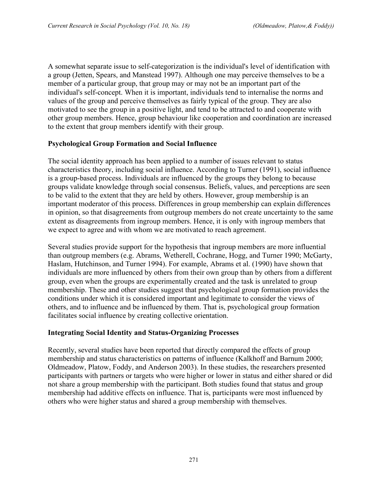A somewhat separate issue to self-categorization is the individual's level of identification with a group (Jetten, Spears, and Manstead 1997). Although one may perceive themselves to be a member of a particular group, that group may or may not be an important part of the individual's self-concept. When it is important, individuals tend to internalise the norms and values of the group and perceive themselves as fairly typical of the group. They are also motivated to see the group in a positive light, and tend to be attracted to and cooperate with other group members. Hence, group behaviour like cooperation and coordination are increased to the extent that group members identify with their group.

#### **Psychological Group Formation and Social Influence**

The social identity approach has been applied to a number of issues relevant to status characteristics theory, including social influence. According to Turner (1991), social influence is a group-based process. Individuals are influenced by the groups they belong to because groups validate knowledge through social consensus. Beliefs, values, and perceptions are seen to be valid to the extent that they are held by others. However, group membership is an important moderator of this process. Differences in group membership can explain differences in opinion, so that disagreements from outgroup members do not create uncertainty to the same extent as disagreements from ingroup members. Hence, it is only with ingroup members that we expect to agree and with whom we are motivated to reach agreement.

Several studies provide support for the hypothesis that ingroup members are more influential than outgroup members (e.g. Abrams, Wetherell, Cochrane, Hogg, and Turner 1990; McGarty, Haslam, Hutchinson, and Turner 1994). For example, Abrams et al. (1990) have shown that individuals are more influenced by others from their own group than by others from a different group, even when the groups are experimentally created and the task is unrelated to group membership. These and other studies suggest that psychological group formation provides the conditions under which it is considered important and legitimate to consider the views of others, and to influence and be influenced by them. That is, psychological group formation facilitates social influence by creating collective orientation.

#### **Integrating Social Identity and Status-Organizing Processes**

Recently, several studies have been reported that directly compared the effects of group membership and status characteristics on patterns of influence (Kalkhoff and Barnum 2000; Oldmeadow, Platow, Foddy, and Anderson 2003). In these studies, the researchers presented participants with partners or targets who were higher or lower in status and either shared or did not share a group membership with the participant. Both studies found that status and group membership had additive effects on influence. That is, participants were most influenced by others who were higher status and shared a group membership with themselves.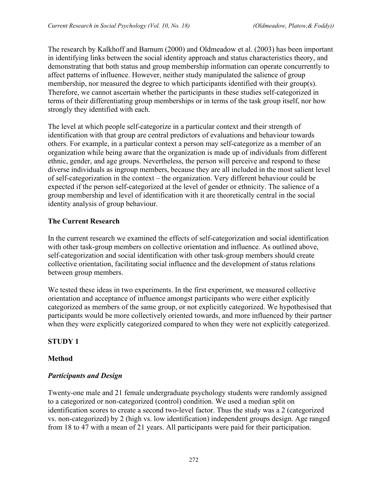The research by Kalkhoff and Barnum (2000) and Oldmeadow et al. (2003) has been important in identifying links between the social identity approach and status characteristics theory, and demonstrating that both status and group membership information can operate concurrently to affect patterns of influence. However, neither study manipulated the salience of group membership, nor measured the degree to which participants identified with their group(s). Therefore, we cannot ascertain whether the participants in these studies self-categorized in terms of their differentiating group memberships or in terms of the task group itself, nor how strongly they identified with each.

The level at which people self-categorize in a particular context and their strength of identification with that group are central predictors of evaluations and behaviour towards others. For example, in a particular context a person may self-categorize as a member of an organization while being aware that the organization is made up of individuals from different ethnic, gender, and age groups. Nevertheless, the person will perceive and respond to these diverse individuals as ingroup members, because they are all included in the most salient level of self-categorization in the context – the organization. Very different behaviour could be expected if the person self-categorized at the level of gender or ethnicity. The salience of a group membership and level of identification with it are theoretically central in the social identity analysis of group behaviour.

# **The Current Research**

In the current research we examined the effects of self-categorization and social identification with other task-group members on collective orientation and influence. As outlined above, self-categorization and social identification with other task-group members should create collective orientation, facilitating social influence and the development of status relations between group members.

We tested these ideas in two experiments. In the first experiment, we measured collective orientation and acceptance of influence amongst participants who were either explicitly categorized as members of the same group, or not explicitly categorized. We hypothesised that participants would be more collectively oriented towards, and more influenced by their partner when they were explicitly categorized compared to when they were not explicitly categorized.

# **STUDY 1**

# **Method**

# *Participants and Design*

Twenty-one male and 21 female undergraduate psychology students were randomly assigned to a categorized or non-categorized (control) condition. We used a median split on identification scores to create a second two-level factor. Thus the study was a 2 (categorized vs. non-categorized) by 2 (high vs. low identification) independent groups design. Age ranged from 18 to 47 with a mean of 21 years. All participants were paid for their participation.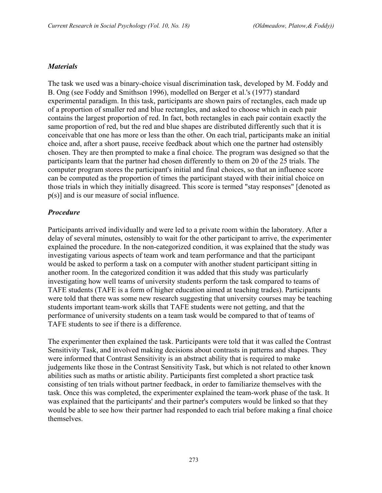#### *Materials*

The task we used was a binary-choice visual discrimination task, developed by M. Foddy and B. Ong (see Foddy and Smithson 1996), modelled on Berger et al.'s (1977) standard experimental paradigm. In this task, participants are shown pairs of rectangles, each made up of a proportion of smaller red and blue rectangles, and asked to choose which in each pair contains the largest proportion of red. In fact, both rectangles in each pair contain exactly the same proportion of red, but the red and blue shapes are distributed differently such that it is conceivable that one has more or less than the other. On each trial, participants make an initial choice and, after a short pause, receive feedback about which one the partner had ostensibly chosen. They are then prompted to make a final choice. The program was designed so that the participants learn that the partner had chosen differently to them on 20 of the 25 trials. The computer program stores the participant's initial and final choices, so that an influence score can be computed as the proportion of times the participant stayed with their initial choice on those trials in which they initially disagreed. This score is termed "stay responses" [denoted as p(s)] and is our measure of social influence.

### *Procedure*

Participants arrived individually and were led to a private room within the laboratory. After a delay of several minutes, ostensibly to wait for the other participant to arrive, the experimenter explained the procedure. In the non-categorized condition, it was explained that the study was investigating various aspects of team work and team performance and that the participant would be asked to perform a task on a computer with another student participant sitting in another room. In the categorized condition it was added that this study was particularly investigating how well teams of university students perform the task compared to teams of TAFE students (TAFE is a form of higher education aimed at teaching trades). Participants were told that there was some new research suggesting that university courses may be teaching students important team-work skills that TAFE students were not getting, and that the performance of university students on a team task would be compared to that of teams of TAFE students to see if there is a difference.

The experimenter then explained the task. Participants were told that it was called the Contrast Sensitivity Task, and involved making decisions about contrasts in patterns and shapes. They were informed that Contrast Sensitivity is an abstract ability that is required to make judgements like those in the Contrast Sensitivity Task, but which is not related to other known abilities such as maths or artistic ability. Participants first completed a short practice task consisting of ten trials without partner feedback, in order to familiarize themselves with the task. Once this was completed, the experimenter explained the team-work phase of the task. It was explained that the participants' and their partner's computers would be linked so that they would be able to see how their partner had responded to each trial before making a final choice themselves.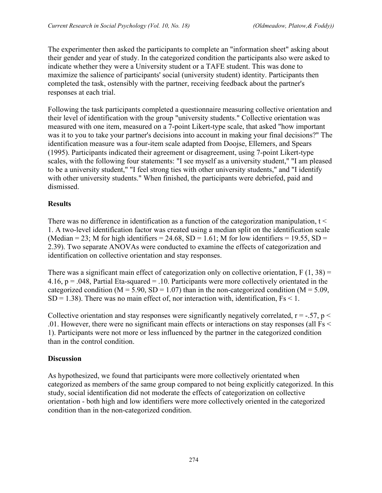The experimenter then asked the participants to complete an "information sheet" asking about their gender and year of study. In the categorized condition the participants also were asked to indicate whether they were a University student or a TAFE student. This was done to maximize the salience of participants' social (university student) identity. Participants then completed the task, ostensibly with the partner, receiving feedback about the partner's responses at each trial.

Following the task participants completed a questionnaire measuring collective orientation and their level of identification with the group "university students." Collective orientation was measured with one item, measured on a 7-point Likert-type scale, that asked "how important was it to you to take your partner's decisions into account in making your final decisions?" The identification measure was a four-item scale adapted from Doojse, Ellemers, and Spears (1995). Participants indicated their agreement or disagreement, using 7-point Likert-type scales, with the following four statements: "I see myself as a university student," "I am pleased to be a university student," "I feel strong ties with other university students," and "I identify with other university students." When finished, the participants were debriefed, paid and dismissed.

# **Results**

There was no difference in identification as a function of the categorization manipulation, t < 1. A two-level identification factor was created using a median split on the identification scale (Median = 23; M for high identifiers = 24.68, SD = 1.61; M for low identifiers = 19.55, SD = 2.39). Two separate ANOVAs were conducted to examine the effects of categorization and identification on collective orientation and stay responses.

There was a significant main effect of categorization only on collective orientation,  $F(1, 38) =$ 4.16,  $p = 0.048$ , Partial Eta-squared = .10. Participants were more collectively orientated in the categorized condition ( $M = 5.90$ ,  $SD = 1.07$ ) than in the non-categorized condition ( $M = 5.09$ ,  $SD = 1.38$ ). There was no main effect of, nor interaction with, identification,  $Fs < 1$ .

Collective orientation and stay responses were significantly negatively correlated,  $r = -.57$ ,  $p <$ .01. However, there were no significant main effects or interactions on stay responses (all Fs < 1). Participants were not more or less influenced by the partner in the categorized condition than in the control condition.

# **Discussion**

As hypothesized, we found that participants were more collectively orientated when categorized as members of the same group compared to not being explicitly categorized. In this study, social identification did not moderate the effects of categorization on collective orientation - both high and low identifiers were more collectively oriented in the categorized condition than in the non-categorized condition.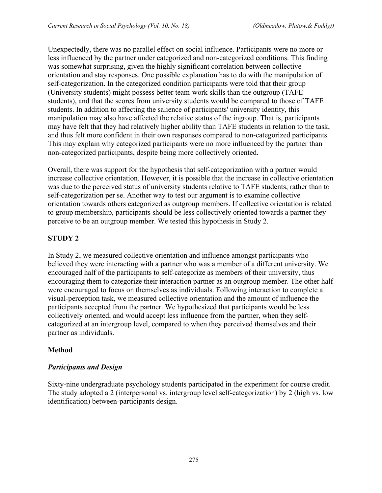Unexpectedly, there was no parallel effect on social influence. Participants were no more or less influenced by the partner under categorized and non-categorized conditions. This finding was somewhat surprising, given the highly significant correlation between collective orientation and stay responses. One possible explanation has to do with the manipulation of self-categorization. In the categorized condition participants were told that their group (University students) might possess better team-work skills than the outgroup (TAFE students), and that the scores from university students would be compared to those of TAFE students. In addition to affecting the salience of participants' university identity, this manipulation may also have affected the relative status of the ingroup. That is, participants may have felt that they had relatively higher ability than TAFE students in relation to the task, and thus felt more confident in their own responses compared to non-categorized participants. This may explain why categorized participants were no more influenced by the partner than non-categorized participants, despite being more collectively oriented.

Overall, there was support for the hypothesis that self-categorization with a partner would increase collective orientation. However, it is possible that the increase in collective orientation was due to the perceived status of university students relative to TAFE students, rather than to self-categorization per se. Another way to test our argument is to examine collective orientation towards others categorized as outgroup members. If collective orientation is related to group membership, participants should be less collectively oriented towards a partner they perceive to be an outgroup member. We tested this hypothesis in Study 2.

# **STUDY 2**

In Study 2, we measured collective orientation and influence amongst participants who believed they were interacting with a partner who was a member of a different university. We encouraged half of the participants to self-categorize as members of their university, thus encouraging them to categorize their interaction partner as an outgroup member. The other half were encouraged to focus on themselves as individuals. Following interaction to complete a visual-perception task, we measured collective orientation and the amount of influence the participants accepted from the partner. We hypothesized that participants would be less collectively oriented, and would accept less influence from the partner, when they selfcategorized at an intergroup level, compared to when they perceived themselves and their partner as individuals.

# **Method**

# *Participants and Design*

Sixty-nine undergraduate psychology students participated in the experiment for course credit. The study adopted a 2 (interpersonal vs. intergroup level self-categorization) by 2 (high vs. low identification) between-participants design.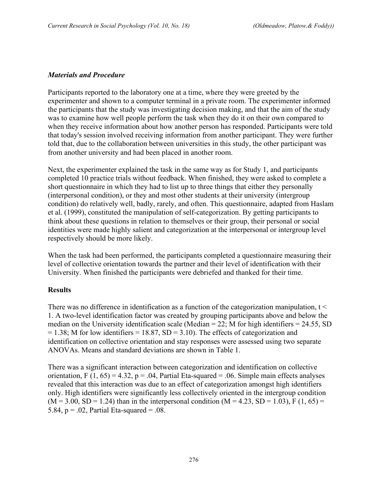#### *Materials and Procedure*

Participants reported to the laboratory one at a time, where they were greeted by the experimenter and shown to a computer terminal in a private room. The experimenter informed the participants that the study was investigating decision making, and that the aim of the study was to examine how well people perform the task when they do it on their own compared to when they receive information about how another person has responded. Participants were told that today's session involved receiving information from another participant. They were further told that, due to the collaboration between universities in this study, the other participant was from another university and had been placed in another room.

Next, the experimenter explained the task in the same way as for Study 1, and participants completed 10 practice trials without feedback. When finished, they were asked to complete a short questionnaire in which they had to list up to three things that either they personally (interpersonal condition), or they and most other students at their university (intergroup condition) do relatively well, badly, rarely, and often. This questionnaire, adapted from Haslam et al. (1999), constituted the manipulation of self-categorization. By getting participants to think about these questions in relation to themselves or their group, their personal or social identities were made highly salient and categorization at the interpersonal or intergroup level respectively should be more likely.

When the task had been performed, the participants completed a questionnaire measuring their level of collective orientation towards the partner and their level of identification with their University. When finished the participants were debriefed and thanked for their time.

#### **Results**

There was no difference in identification as a function of the categorization manipulation, t < 1. A two-level identification factor was created by grouping participants above and below the median on the University identification scale (Median  $= 22$ ; M for high identifiers  $= 24.55$ , SD  $= 1.38$ ; M for low identifiers  $= 18.87$ , SD  $= 3.10$ ). The effects of categorization and identification on collective orientation and stay responses were assessed using two separate ANOVAs. Means and standard deviations are shown in Table 1.

There was a significant interaction between categorization and identification on collective orientation, F  $(1, 65) = 4.32$ , p = .04, Partial Eta-squared = .06. Simple main effects analyses revealed that this interaction was due to an effect of categorization amongst high identifiers only. High identifiers were significantly less collectively oriented in the intergroup condition  $(M = 3.00, SD = 1.24)$  than in the interpersonal condition  $(M = 4.23, SD = 1.03)$ , F  $(1, 65)$  = 5.84,  $p = 0.02$ , Partial Eta-squared = 0.08.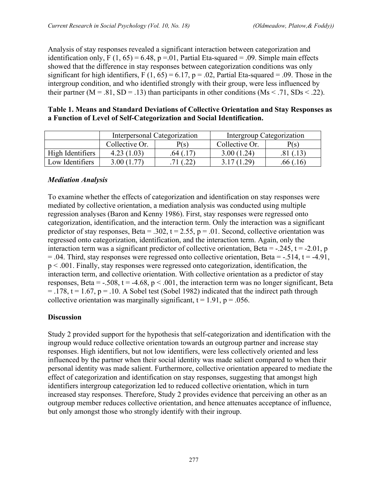Analysis of stay responses revealed a significant interaction between categorization and identification only, F  $(1, 65) = 6.48$ , p = 01, Partial Eta-squared = .09. Simple main effects showed that the difference in stay responses between categorization conditions was only significant for high identifiers, F (1, 65) = 6.17, p = .02, Partial Eta-squared = .09. Those in the intergroup condition, and who identified strongly with their group, were less influenced by their partner ( $M = .81$ ,  $SD = .13$ ) than participants in other conditions ( $Ms < .71$ ,  $SDs < .22$ ).

#### **Table 1. Means and Standard Deviations of Collective Orientation and Stay Responses as a Function of Level of Self-Categorization and Social Identification.**

|                  | Interpersonal Categorization |      | Intergroup Categorization |      |
|------------------|------------------------------|------|---------------------------|------|
|                  | Collective Or.               | P(s) | Collective Or.            | P(s) |
| High Identifiers | 4.23(1.03)                   | .64' | 3.00(1.24)                |      |
| Low Identifiers  | 3.00 (1.                     |      | 3 17 (1 29)               |      |

### *Mediation Analysis*

To examine whether the effects of categorization and identification on stay responses were mediated by collective orientation, a mediation analysis was conducted using multiple regression analyses (Baron and Kenny 1986). First, stay responses were regressed onto categorization, identification, and the interaction term. Only the interaction was a significant predictor of stay responses, Beta = .302,  $t = 2.55$ ,  $p = .01$ . Second, collective orientation was regressed onto categorization, identification, and the interaction term. Again, only the interaction term was a significant predictor of collective orientation, Beta =  $-.245$ , t =  $-.201$ , p  $= .04$ . Third, stay responses were regressed onto collective orientation, Beta  $= -0.514$ , t  $= -4.91$ , p < .001. Finally, stay responses were regressed onto categorization, identification, the interaction term, and collective orientation. With collective orientation as a predictor of stay responses, Beta =  $-0.508$ , t =  $-4.68$ , p <  $0.001$ , the interaction term was no longer significant, Beta  $=$  .178, t = 1.67, p = .10. A Sobel test (Sobel 1982) indicated that the indirect path through collective orientation was marginally significant,  $t = 1.91$ ,  $p = .056$ .

### **Discussion**

Study 2 provided support for the hypothesis that self-categorization and identification with the ingroup would reduce collective orientation towards an outgroup partner and increase stay responses. High identifiers, but not low identifiers, were less collectively oriented and less influenced by the partner when their social identity was made salient compared to when their personal identity was made salient. Furthermore, collective orientation appeared to mediate the effect of categorization and identification on stay responses, suggesting that amongst high identifiers intergroup categorization led to reduced collective orientation, which in turn increased stay responses. Therefore, Study 2 provides evidence that perceiving an other as an outgroup member reduces collective orientation, and hence attenuates acceptance of influence, but only amongst those who strongly identify with their ingroup.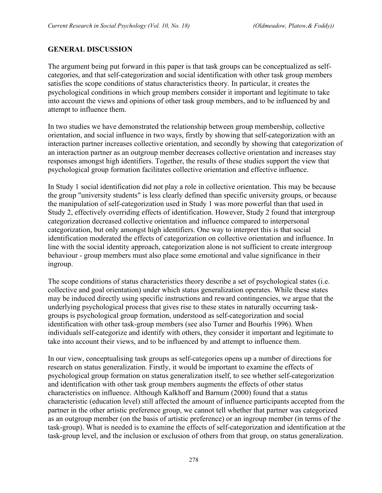#### **GENERAL DISCUSSION**

The argument being put forward in this paper is that task groups can be conceptualized as selfcategories, and that self-categorization and social identification with other task group members satisfies the scope conditions of status characteristics theory. In particular, it creates the psychological conditions in which group members consider it important and legitimate to take into account the views and opinions of other task group members, and to be influenced by and attempt to influence them.

In two studies we have demonstrated the relationship between group membership, collective orientation, and social influence in two ways, firstly by showing that self-categorization with an interaction partner increases collective orientation, and secondly by showing that categorization of an interaction partner as an outgroup member decreases collective orientation and increases stay responses amongst high identifiers. Together, the results of these studies support the view that psychological group formation facilitates collective orientation and effective influence.

In Study 1 social identification did not play a role in collective orientation. This may be because the group "university students" is less clearly defined than specific university groups, or because the manipulation of self-categorization used in Study 1 was more powerful than that used in Study 2, effectively overriding effects of identification. However, Study 2 found that intergroup categorization decreased collective orientation and influence compared to interpersonal categorization, but only amongst high identifiers. One way to interpret this is that social identification moderated the effects of categorization on collective orientation and influence. In line with the social identity approach, categorization alone is not sufficient to create intergroup behaviour - group members must also place some emotional and value significance in their ingroup.

The scope conditions of status characteristics theory describe a set of psychological states (i.e. collective and goal orientation) under which status generalization operates. While these states may be induced directly using specific instructions and reward contingencies, we argue that the underlying psychological process that gives rise to these states in naturally occurring taskgroups is psychological group formation, understood as self-categorization and social identification with other task-group members (see also Turner and Bourhis 1996). When individuals self-categorize and identify with others, they consider it important and legitimate to take into account their views, and to be influenced by and attempt to influence them.

In our view, conceptualising task groups as self-categories opens up a number of directions for research on status generalization. Firstly, it would be important to examine the effects of psychological group formation on status generalization itself, to see whether self-categorization and identification with other task group members augments the effects of other status characteristics on influence. Although Kalkhoff and Barnum (2000) found that a status characteristic (education level) still affected the amount of influence participants accepted from the partner in the other artistic preference group, we cannot tell whether that partner was categorized as an outgroup member (on the basis of artistic preference) or an ingroup member (in terms of the task-group). What is needed is to examine the effects of self-categorization and identification at the task-group level, and the inclusion or exclusion of others from that group, on status generalization.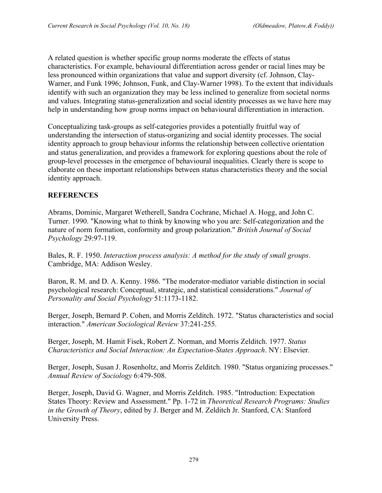A related question is whether specific group norms moderate the effects of status characteristics. For example, behavioural differentiation across gender or racial lines may be less pronounced within organizations that value and support diversity (cf. Johnson, Clay-Warner, and Funk 1996; Johnson, Funk, and Clay-Warner 1998). To the extent that individuals identify with such an organization they may be less inclined to generalize from societal norms and values. Integrating status-generalization and social identity processes as we have here may help in understanding how group norms impact on behavioural differentiation in interaction.

Conceptualizing task-groups as self-categories provides a potentially fruitful way of understanding the intersection of status-organizing and social identity processes. The social identity approach to group behaviour informs the relationship between collective orientation and status generalization, and provides a framework for exploring questions about the role of group-level processes in the emergence of behavioural inequalities. Clearly there is scope to elaborate on these important relationships between status characteristics theory and the social identity approach.

# **REFERENCES**

Abrams, Dominic, Margaret Wetherell, Sandra Cochrane, Michael A. Hogg, and John C. Turner. 1990. "Knowing what to think by knowing who you are: Self-categorization and the nature of norm formation, conformity and group polarization." *British Journal of Social Psychology* 29:97-119.

Bales, R. F. 1950. *Interaction process analysis: A method for the study of small groups*. Cambridge, MA: Addison Wesley.

Baron, R. M. and D. A. Kenny. 1986. "The moderator-mediator variable distinction in social psychological research: Conceptual, strategic, and statistical considerations." *Journal of Personality and Social Psychology* 51:1173-1182.

Berger, Joseph, Bernard P. Cohen, and Morris Zelditch. 1972. "Status characteristics and social interaction." *American Sociological Review* 37:241-255.

Berger, Joseph, M. Hamit Fisek, Robert Z. Norman, and Morris Zelditch. 1977. *Status Characteristics and Social Interaction: An Expectation-States Approach*. NY: Elsevier.

Berger, Joseph, Susan J. Rosenholtz, and Morris Zelditch. 1980. "Status organizing processes." *Annual Review of Sociology* 6:479-508.

Berger, Joseph, David G. Wagner, and Morris Zelditch. 1985. "Introduction: Expectation States Theory: Review and Assessment." Pp. 1-72 in *Theoretical Research Programs: Studies in the Growth of Theory*, edited by J. Berger and M. Zelditch Jr. Stanford, CA: Stanford University Press.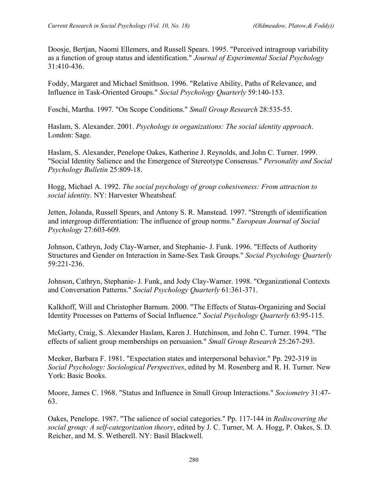Doosje, Bertjan, Naomi Ellemers, and Russell Spears. 1995. "Perceived intragroup variability as a function of group status and identification." *Journal of Experimental Social Psychology* 31:410-436.

Foddy, Margaret and Michael Smithson. 1996. "Relative Ability, Paths of Relevance, and Influence in Task-Oriented Groups." *Social Psychology Quarterly* 59:140-153.

Foschi, Martha. 1997. "On Scope Conditions." *Small Group Research* 28:535-55.

Haslam, S. Alexander. 2001. *Psychology in organizations: The social identity approach*. London: Sage.

Haslam, S. Alexander, Penelope Oakes, Katherine J. Reynolds, and John C. Turner. 1999. "Social Identity Salience and the Emergence of Stereotype Consensus." *Personality and Social Psychology Bulletin* 25:809-18.

Hogg, Michael A. 1992. *The social psychology of group cohesiveness: From attraction to social identity*. NY: Harvester Wheatsheaf.

Jetten, Jolanda, Russell Spears, and Antony S. R. Manstead. 1997. "Strength of identification and intergroup differentiation: The influence of group norms." *European Journal of Social Psychology* 27:603-609.

Johnson, Cathryn, Jody Clay-Warner, and Stephanie- J. Funk. 1996. "Effects of Authority Structures and Gender on Interaction in Same-Sex Task Groups." *Social Psychology Quarterly* 59:221-236.

Johnson, Cathryn, Stephanie- J. Funk, and Jody Clay-Warner. 1998. "Organizational Contexts and Conversation Patterns." *Social Psychology Quarterly* 61:361-371.

Kalkhoff, Will and Christopher Barnum. 2000. "The Effects of Status-Organizing and Social Identity Processes on Patterns of Social Influence." *Social Psychology Quarterly* 63:95-115.

McGarty, Craig, S. Alexander Haslam, Karen J. Hutchinson, and John C. Turner. 1994. "The effects of salient group memberships on persuasion." *Small Group Research* 25:267-293.

Meeker, Barbara F. 1981. "Expectation states and interpersonal behavior." Pp. 292-319 in *Social Psychology: Sociological Perspectives*, edited by M. Rosenberg and R. H. Turner. New York: Basic Books.

Moore, James C. 1968. "Status and Influence in Small Group Interactions." *Sociometry* 31:47- 63.

Oakes, Penelope. 1987. "The salience of social categories." Pp. 117-144 in *Rediscovering the social group: A self-categorization theory*, edited by J. C. Turner, M. A. Hogg, P. Oakes, S. D. Reicher, and M. S. Wetherell. NY: Basil Blackwell.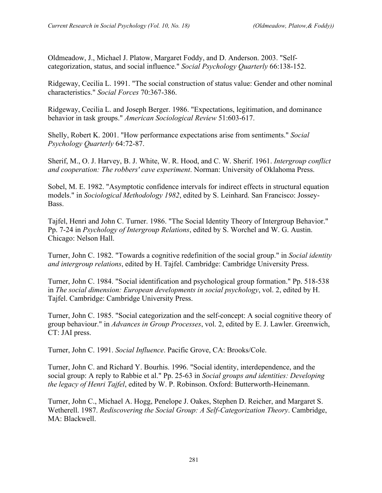Oldmeadow, J., Michael J. Platow, Margaret Foddy, and D. Anderson. 2003. "Selfcategorization, status, and social influence." *Social Psychology Quarterly* 66:138-152.

Ridgeway, Cecilia L. 1991. "The social construction of status value: Gender and other nominal characteristics." *Social Forces* 70:367-386.

Ridgeway, Cecilia L. and Joseph Berger. 1986. "Expectations, legitimation, and dominance behavior in task groups." *American Sociological Review* 51:603-617.

Shelly, Robert K. 2001. "How performance expectations arise from sentiments." *Social Psychology Quarterly* 64:72-87.

Sherif, M., O. J. Harvey, B. J. White, W. R. Hood, and C. W. Sherif. 1961. *Intergroup conflict and cooperation: The robbers' cave experiment*. Norman: University of Oklahoma Press.

Sobel, M. E. 1982. "Asymptotic confidence intervals for indirect effects in structural equation models." in *Sociological Methodology 1982*, edited by S. Leinhard. San Francisco: Jossey-Bass.

Tajfel, Henri and John C. Turner. 1986. "The Social Identity Theory of Intergroup Behavior." Pp. 7-24 in *Psychology of Intergroup Relations*, edited by S. Worchel and W. G. Austin. Chicago: Nelson Hall.

Turner, John C. 1982. "Towards a cognitive redefinition of the social group." in *Social identity and intergroup relations*, edited by H. Tajfel. Cambridge: Cambridge University Press.

Turner, John C. 1984. "Social identification and psychological group formation." Pp. 518-538 in *The social dimension: European developments in social psychology*, vol. 2, edited by H. Tajfel. Cambridge: Cambridge University Press.

Turner, John C. 1985. "Social categorization and the self-concept: A social cognitive theory of group behaviour." in *Advances in Group Processes*, vol. 2, edited by E. J. Lawler. Greenwich, CT: JAI press.

Turner, John C. 1991. *Social Influence*. Pacific Grove, CA: Brooks/Cole.

Turner, John C. and Richard Y. Bourhis. 1996. "Social identity, interdependence, and the social group: A reply to Rabbie et al." Pp. 25-63 in *Social groups and identities: Developing the legacy of Henri Tajfel*, edited by W. P. Robinson. Oxford: Butterworth-Heinemann.

Turner, John C., Michael A. Hogg, Penelope J. Oakes, Stephen D. Reicher, and Margaret S. Wetherell. 1987. *Rediscovering the Social Group: A Self-Categorization Theory*. Cambridge, MA: Blackwell.